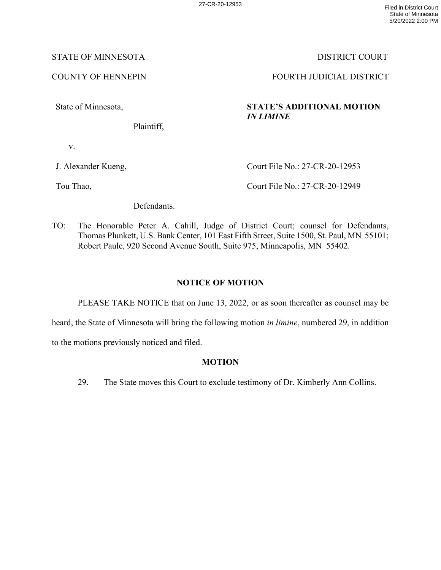### STATE OF MINNESOTA DISTRICT COURT

State of Minnesota,

Plaintiff,

v.

J. Alexander Kueng,

Court File No.: 27-CR-20-12953

Tou Thao,

Court File No.: 27-CR-20-12949

Defendants.

TO: The Honorable Peter A. Cahill, Judge of District Court; counsel for Defendants, Thomas Plunkett, U.S. Bank Center, 101 East Fifth Street, Suite 1500, St. Paul, MN 55101; Robert Paule, 920 Second Avenue South, Suite 975, Minneapolis, MN 55402.

## **NOTICE OF MOTION**

PLEASE TAKE NOTICE that on June 13, 2022, or as soon thereafter as counsel may be

heard, the State of Minnesota will bring the following motion *in limine*, numbered 29, in addition

to the motions previously noticed and filed.

### **MOTION**

29. The State moves this Court to exclude testimony of Dr. Kimberly Ann Collins.

COUNTY OF HENNEPIN FOURTH JUDICIAL DISTRICT

# **STATE'S ADDITIONAL MOTION**  *IN LIMINE*